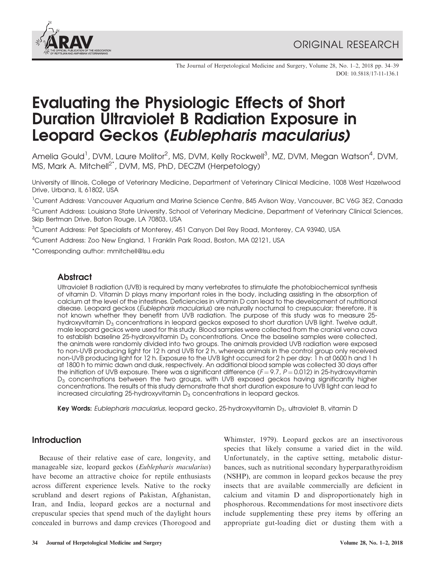

The Journal of Herpetological Medicine and Surgery, Volume 28, No. 1–2, 2018 pp. 34–39 DOI: 10.5818/17-11-136.1

# Evaluating the Physiologic Effects of Short Duration Ultraviolet B Radiation Exposure in Leopard Geckos (Eublepharis macularius)

Amelia Gould<sup>1</sup>, DVM, Laure Molitor<sup>2</sup>, MS, DVM, Kelly Rockwell<sup>3</sup>, MZ, DVM, Megan Watson<sup>4</sup>, DVM, MS, Mark A. Mitchell<sup>2\*</sup>, DVM, MS, PhD, DECZM (Herpetology)

University of Illinois, College of Veterinary Medicine, Department of Veterinary Clinical Medicine, 1008 West Hazelwood Drive, Urbana, IL 61802, USA

<sup>1</sup>Current Address: Vancouver Aquarium and Marine Science Centre, 845 Avison Way, Vancouver, BC V6G 3E2, Canada

<sup>2</sup>Current Address: Louisiana State University, School of Veterinary Medicine, Department of Veterinary Clinical Sciences, Skip Bertman Drive, Baton Rouge, LA 70803, USA

 $3$ Current Address: Pet Specialists of Monterey, 451 Canyon Del Rey Road, Monterey, CA 93940, USA

<sup>4</sup>Current Address: Zoo New England, 1 Franklin Park Road, Boston, MA 02121, USA

\*Corresponding author: mmitchell@lsu.edu

## **Abstract**

Ultraviolet B radiation (UVB) is required by many vertebrates to stimulate the photobiochemical synthesis of vitamin D. Vitamin D plays many important roles in the body, including assisting in the absorption of calcium at the level of the intestines. Deficiencies in vitamin D can lead to the development of nutritional disease. Leopard geckos (Eublepharis macularius) are naturally nocturnal to crepuscular; therefore, it is not known whether they benefit from UVB radiation. The purpose of this study was to measure 25 hydroxyvitamin  $D_3$  concentrations in leopard geckos exposed to short duration UVB light. Twelve adult, male leopard geckos were used for this study. Blood samples were collected from the cranial vena cava to establish baseline 25-hydroxyvitamin  $D_3$  concentrations. Once the baseline samples were collected, the animals were randomly divided into two groups. The animals provided UVB radiation were exposed to non-UVB producing light for 12 h and UVB for 2 h, whereas animals in the control group only received non-UVB producing light for 12 h. Exposure to the UVB light occurred for 2 h per day: 1 h at 0600 h and 1 h at 1800 h to mimic dawn and dusk, respectively. An additional blood sample was collected 30 days after the initiation of UVB exposure. There was a significant difference  $(F = 9.7, P = 0.012)$  in 25-hydroxyvitamin D<sub>3</sub> concentrations between the two groups, with UVB exposed geckos having significantly higher concentrations. The results of this study demonstrate that short duration exposure to UVB light can lead to increased circulating 25-hydroxyvitamin  $D_3$  concentrations in leopard geckos.

**Key Words:** Eublepharis macularius, leopard gecko, 25-hydroxyvitamin  $D_3$ , ultraviolet B, vitamin D

## **Introduction**

Because of their relative ease of care, longevity, and manageable size, leopard geckos (Eublepharis macularius) have become an attractive choice for reptile enthusiasts across different experience levels. Native to the rocky scrubland and desert regions of Pakistan, Afghanistan, Iran, and India, leopard geckos are a nocturnal and crepuscular species that spend much of the daylight hours concealed in burrows and damp crevices (Thorogood and

Whimster, 1979). Leopard geckos are an insectivorous species that likely consume a varied diet in the wild. Unfortunately, in the captive setting, metabolic disturbances, such as nutritional secondary hyperparathyroidism (NSHP), are common in leopard geckos because the prey insects that are available commercially are deficient in calcium and vitamin D and disproportionately high in phosphorous. Recommendations for most insectivore diets include supplementing these prey items by offering an appropriate gut-loading diet or dusting them with a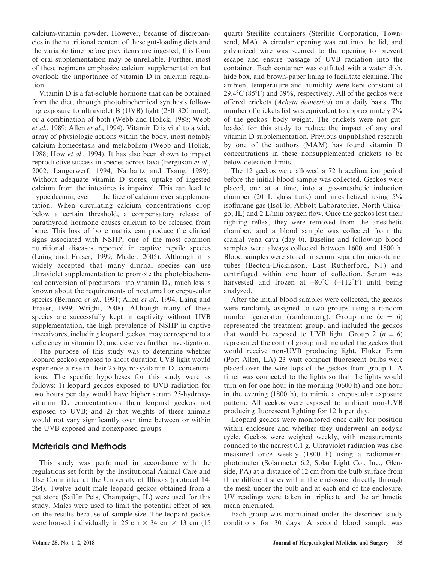calcium-vitamin powder. However, because of discrepancies in the nutritional content of these gut-loading diets and the variable time before prey items are ingested, this form of oral supplementation may be unreliable. Further, most of these regimens emphasize calcium supplementation but overlook the importance of vitamin D in calcium regulation.

Vitamin D is a fat-soluble hormone that can be obtained from the diet, through photobiochemical synthesis following exposure to ultraviolet B (UVB) light (280–320 nmol), or a combination of both (Webb and Holick, 1988; Webb et al., 1989; Allen et al., 1994). Vitamin D is vital to a wide array of physiologic actions within the body, most notably calcium homeostasis and metabolism (Webb and Holick, 1988; How et al., 1994). It has also been shown to impact reproductive success in species across taxa (Ferguson et al., 2002; Langerwerf, 1994; Narbaitz and Tsang, 1989). Without adequate vitamin D stores, uptake of ingested calcium from the intestines is impaired. This can lead to hypocalcemia, even in the face of calcium over supplementation. When circulating calcium concentrations drop below a certain threshold, a compensatory release of parathyroid hormone causes calcium to be released from bone. This loss of bone matrix can produce the clinical signs associated with NSHP, one of the most common nutritional diseases reported in captive reptile species (Laing and Fraser, 1999; Mader, 2005). Although it is widely accepted that many diurnal species can use ultraviolet supplementation to promote the photobiochemical conversion of precursors into vitamin  $D_3$ , much less is known about the requirements of nocturnal or crepuscular species (Bernard *et al.*, 1991; Allen *et al.*, 1994; Laing and Fraser, 1999; Wright, 2008). Although many of these species are successfully kept in captivity without UVB supplementation, the high prevalence of NSHP in captive insectivores, including leopard geckos, may correspond to a deficiency in vitamin  $D_3$  and deserves further investigation.

The purpose of this study was to determine whether leopard geckos exposed to short duration UVB light would experience a rise in their 25-hydroxyvitamin  $D_3$  concentrations. The specific hypotheses for this study were as follows: 1) leopard geckos exposed to UVB radiation for two hours per day would have higher serum 25-hydroxyvitamin  $D_3$  concentrations than leopard geckos not exposed to UVB; and 2) that weights of these animals would not vary significantly over time between or within the UVB exposed and nonexposed groups.

## Materials and Methods

This study was performed in accordance with the regulations set forth by the Institutional Animal Care and Use Committee at the University of Illinois (protocol 14- 264). Twelve adult male leopard geckos obtained from a pet store (Sailfin Pets, Champaign, IL) were used for this study. Males were used to limit the potential effect of sex on the results because of sample size. The leopard geckos were housed individually in 25 cm  $\times$  34 cm  $\times$  13 cm (15 quart) Sterilite containers (Sterilite Corporation, Townsend, MA). A circular opening was cut into the lid, and galvanized wire was secured to the opening to prevent escape and ensure passage of UVB radiation into the container. Each container was outfitted with a water dish, hide box, and brown-paper lining to facilitate cleaning. The ambient temperature and humidity were kept constant at  $29.4^{\circ}$ C (85 $^{\circ}$ F) and 39%, respectively. All of the geckos were offered crickets (Acheta domestica) on a daily basis. The number of crickets fed was equivalent to approximately 2% of the geckos' body weight. The crickets were not gutloaded for this study to reduce the impact of any oral vitamin D supplementation. Previous unpublished research by one of the authors (MAM) has found vitamin D concentrations in these nonsupplemented crickets to be below detection limits.

The 12 geckos were allowed a 72 h acclimation period before the initial blood sample was collected. Geckos were placed, one at a time, into a gas-anesthetic induction chamber (20 L glass tank) and anesthetized using  $5\%$ isoflurane gas (IsoFlo; Abbott Laboratories, North Chicago, IL) and 2 L/min oxygen flow. Once the geckos lost their righting reflex, they were removed from the anesthetic chamber, and a blood sample was collected from the cranial vena cava (day 0). Baseline and follow-up blood samples were always collected between 1600 and 1800 h. Blood samples were stored in serum separator microtainer tubes (Becton-Dickinson, East Rutherford, NJ) and centrifuged within one hour of collection. Serum was harvested and frozen at  $-80^{\circ}$ C ( $-112^{\circ}$ F) until being analyzed.

After the initial blood samples were collected, the geckos were randomly assigned to two groups using a random number generator (random.org). Group one  $(n = 6)$ represented the treatment group, and included the geckos that would be exposed to UVB light. Group 2 ( $n = 6$ ) represented the control group and included the geckos that would receive non-UVB producing light. Fluker Farm (Port Allen, LA) 23 watt compact fluorescent bulbs were placed over the wire tops of the geckos from group 1. A timer was connected to the lights so that the lights would turn on for one hour in the morning (0600 h) and one hour in the evening (1800 h), to mimic a crepuscular exposure pattern. All geckos were exposed to ambient non-UVB producing fluorescent lighting for 12 h per day.

Leopard geckos were monitored once daily for position within enclosure and whether they underwent an ecdysis cycle. Geckos were weighed weekly, with measurements rounded to the nearest 0.1 g. Ultraviolet radiation was also measured once weekly (1800 h) using a radiometerphotometer (Solarmeter 6.2; Solar Light Co., Inc., Glenside, PA) at a distance of 12 cm from the bulb surface from three different sites within the enclosure: directly through the mesh under the bulb and at each end of the enclosure. UV readings were taken in triplicate and the arithmetic mean calculated.

Each group was maintained under the described study conditions for 30 days. A second blood sample was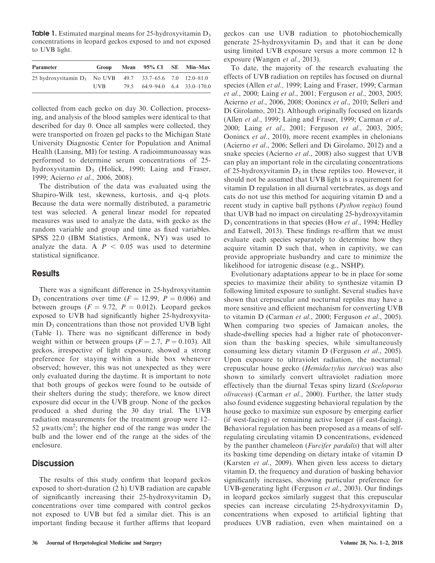**Table 1.** Estimated marginal means for 25-hydroxyvitamin  $D_3$ concentrations in leopard geckos exposed to and not exposed to UVB light.

| <b>Parameter</b>                                            | Group      | Mean 95% CI SE Min-Max        |  |
|-------------------------------------------------------------|------------|-------------------------------|--|
| 25 hydroxyvitamin $D_3$ No UVB 49.7 33.7–65.6 7.0 12.0–81.0 |            |                               |  |
|                                                             | <b>UVB</b> | 79.5 64.9–94.0 6.4 33.0–170.0 |  |

collected from each gecko on day 30. Collection, processing, and analysis of the blood samples were identical to that described for day 0. Once all samples were collected, they were transported on frozen gel packs to the Michigan State University Diagnostic Center for Population and Animal Health (Lansing, MI) for testing. A radioimmunoassay was performed to determine serum concentrations of 25 hydroxyvitamin  $D_3$  (Holick, 1990; Laing and Fraser, 1999; Acierno et al., 2006, 2008).

The distribution of the data was evaluated using the Shapiro-Wilk test, skewness, kurtosis, and q-q plots. Because the data were normally distributed, a parametric test was selected. A general linear model for repeated measures was used to analyze the data, with gecko as the random variable and group and time as fixed variables. SPSS 22.0 (IBM Statistics, Armonk, NY) was used to analyze the data. A  $P < 0.05$  was used to determine statistical significance.

#### **Results**

There was a significant difference in 25-hydroxyvitamin  $D_3$  concentrations over time ( $F = 12.99$ ,  $P = 0.006$ ) and between groups  $(F = 9.72, P = 0.012)$ . Leopard geckos exposed to UVB had significantly higher 25-hydroxyvitamin  $D_3$  concentrations than those not provided UVB light (Table 1). There was no significant difference in body weight within or between groups ( $F = 2.7$ ,  $P = 0.103$ ). All geckos, irrespective of light exposure, showed a strong preference for staying within a hide box whenever observed; however, this was not unexpected as they were only evaluated during the daytime. It is important to note that both groups of geckos were found to be outside of their shelters during the study; therefore, we know direct exposure did occur in the UVB group. None of the geckos produced a shed during the 30 day trial. The UVB radiation measurements for the treatment group were 12– 52  $\mu$ watts/cm<sup>2</sup>; the higher end of the range was under the bulb and the lower end of the range at the sides of the enclosure.

#### **Discussion**

The results of this study confirm that leopard geckos exposed to short-duration (2 h) UVB radiation are capable of significantly increasing their 25-hydroxyvitamin  $D_3$ concentrations over time compared with control geckos not exposed to UVB but fed a similar diet. This is an important finding because it further affirms that leopard geckos can use UVB radiation to photobiochemically generate 25-hydroxyvitamin  $D_3$  and that it can be done using limited UVB exposure versus a more common 12 h exposure (Wangen et al., 2013).

To date, the majority of the research evaluating the effects of UVB radiation on reptiles has focused on diurnal species (Allen et al., 1999; Laing and Fraser, 1999; Carman et al., 2000; Laing et al., 2001; Ferguson et al., 2003, 2005; Acierno et al., 2006, 2008; Oonincx et al., 2010; Selleri and Di Girolamo, 2012). Although originally focused on lizards (Allen et al., 1999; Laing and Fraser, 1999; Carman et al., 2000; Laing et al., 2001; Ferguson et al., 2003, 2005; Oonincx et al., 2010), more recent examples in chelonians (Acierno et al., 2006; Selleri and Di Girolamo, 2012) and a snake species (Acierno et al., 2008) also suggest that UVB can play an important role in the circulating concentrations of 25-hydroxyvitamin  $D_3$  in these reptiles too. However, it should not be assumed that UVB light is a requirement for vitamin D regulation in all diurnal vertebrates, as dogs and cats do not use this method for acquiring vitamin D and a recent study in captive ball pythons (*Python regius*) found that UVB had no impact on circulating 25-hydroxyvitamin  $D_3$  concentrations in that species (How et al., 1994; Hedley and Eatwell, 2013). These findings re-affirm that we must evaluate each species separately to determine how they acquire vitamin D such that, when in captivity, we can provide appropriate husbandry and care to minimize the likelihood for iatrogenic disease (e.g., NSHP).

Evolutionary adaptations appear to be in place for some species to maximize their ability to synthesize vitamin D following limited exposure to sunlight. Several studies have shown that crepuscular and nocturnal reptiles may have a more sensitive and efficient mechanism for converting UVB to vitamin D (Carman et al., 2000; Ferguson et al., 2005). When comparing two species of Jamaican anoles, the shade-dwelling species had a higher rate of photoconversion than the basking species, while simultaneously consuming less dietary vitamin D (Ferguson et al., 2005). Upon exposure to ultraviolet radiation, the nocturnal/ crepuscular house gecko (Hemidactylus turcicus) was also shown to similarly convert ultraviolet radiation more effectively than the diurnal Texas spiny lizard (Sceloporus olivaceus) (Carman et al., 2000). Further, the latter study also found evidence suggesting behavioral regulation by the house gecko to maximize sun exposure by emerging earlier (if west-facing) or remaining active longer (if east-facing). Behavioral regulation has been proposed as a means of selfregulating circulating vitamin D concentrations, evidenced by the panther chameleon (Furcifer pardalis) that will alter its basking time depending on dietary intake of vitamin D (Karsten et al., 2009). When given less access to dietary vitamin D, the frequency and duration of basking behavior significantly increases, showing particular preference for UVB-generating light (Ferguson et al., 2003). Our findings in leopard geckos similarly suggest that this crepuscular species can increase circulating 25-hydroxyvitamin D<sub>3</sub> concentrations when exposed to artificial lighting that produces UVB radiation, even when maintained on a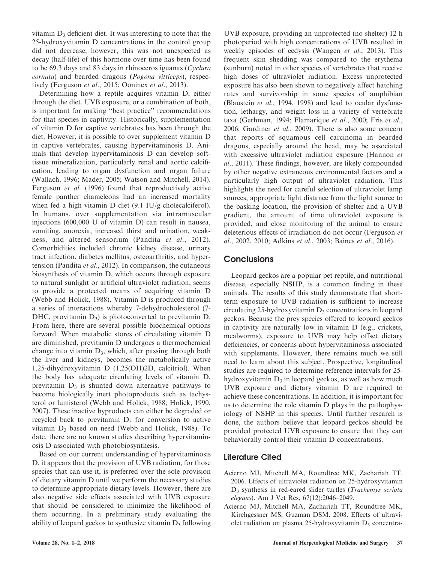vitamin  $D_3$  deficient diet. It was interesting to note that the 25-hydroxyvitamin D concentrations in the control group did not decrease; however, this was not unexpected as decay (half-life) of this hormone over time has been found to be 69.3 days and 83 days in rhinoceros iguanas (Cyclura cornuta) and bearded dragons (Pogona vitticeps), respectively (Ferguson et al., 2015; Oonincx et al., 2013).

Determining how a reptile acquires vitamin D, either through the diet, UVB exposure, or a combination of both, is important for making ''best practice'' recommendations for that species in captivity. Historically, supplementation of vitamin D for captive vertebrates has been through the diet. However, it is possible to over supplement vitamin D in captive vertebrates, causing hypervitaminosis D. Animals that develop hypervitaminosis D can develop softtissue mineralization, particularly renal and aortic calcification, leading to organ dysfunction and organ failure (Wallach, 1996; Mader, 2005; Watson and Mitchell, 2014). Ferguson et al. (1996) found that reproductively active female panther chameleons had an increased mortality when fed a high vitamin D diet (9.1 IU/g cholecalciferol). In humans, over supplementation via intramuscular injections (600,000 U of vitamin D) can result in nausea, vomiting, anorexia, increased thirst and urination, weakness, and altered sensorium (Pandita et al., 2012). Comorbidities included chronic kidney disease, urinary tract infection, diabetes mellitus, osteoarthritis, and hypertension (Pandita et al., 2012). In comparison, the cutaneous biosynthesis of vitamin D, which occurs through exposure to natural sunlight or artificial ultraviolet radiation, seems to provide a protected means of acquiring vitamin D (Webb and Holick, 1988). Vitamin D is produced through a series of interactions whereby 7-dehydrocholesterol (7- DHC, provitamin  $D_3$ ) is photoconverted to previtamin D. From here, there are several possible biochemical options forward. When metabolic stores of circulating vitamin D are diminished, previtamin D undergoes a thermochemical change into vitamin  $D_3$ , which, after passing through both the liver and kidneys, becomes the metabolically active 1,25-dihydroxyvitamin D (1,25(OH)2D, calcitriol). When the body has adequate circulating levels of vitamin D, previtamin  $D_3$  is shunted down alternative pathways to become biologically inert photoproducts such as tachysterol or lumisterol (Webb and Holick, 1988; Holick, 1990, 2007). These inactive byproducts can either be degraded or recycled back to previtamin  $D_3$  for conversion to active vitamin  $D_3$  based on need (Webb and Holick, 1988). To date, there are no known studies describing hypervitaminosis D associated with photobiosynthesis.

Based on our current understanding of hypervitaminosis D, it appears that the provision of UVB radiation, for those species that can use it, is preferred over the sole provision of dietary vitamin D until we perform the necessary studies to determine appropriate dietary levels. However, there are also negative side effects associated with UVB exposure that should be considered to minimize the likelihood of them occurring. In a preliminary study evaluating the ability of leopard geckos to synthesize vitamin  $D_3$  following

UVB exposure, providing an unprotected (no shelter) 12 h photoperiod with high concentrations of UVB resulted in weekly episodes of ecdysis (Wangen et al., 2013). This frequent skin shedding was compared to the erythema (sunburn) noted in other species of vertebrates that receive high doses of ultraviolet radiation. Excess unprotected exposure has also been shown to negatively affect hatching rates and survivorship in some species of amphibian (Blaustein et al., 1994, 1998) and lead to ocular dysfunction, lethargy, and weight loss in a variety of vertebrate taxa (Gerhman, 1994; Flamarique et al., 2000; Fris et al., 2006; Gardiner et al., 2009). There is also some concern that reports of squamous cell carcinoma in bearded dragons, especially around the head, may be associated with excessive ultraviolet radiation exposure (Hannon et al., 2011). These findings, however, are likely compounded by other negative extraneous environmental factors and a particularly high output of ultraviolet radiation. This highlights the need for careful selection of ultraviolet lamp sources, appropriate light distance from the light source to the basking location, the provision of shelter and a UVB gradient, the amount of time ultraviolet exposure is provided, and close monitoring of the animal to ensure deleterious effects of irradiation do not occur (Ferguson et al., 2002, 2010; Adkins et al., 2003; Baines et al., 2016).

### **Conclusions**

Leopard geckos are a popular pet reptile, and nutritional disease, especially NSHP, is a common finding in these animals. The results of this study demonstrate that shortterm exposure to UVB radiation is sufficient to increase circulating 25-hydroxyvitamin  $D_3$  concentrations in leopard geckos. Because the prey species offered to leopard geckos in captivity are naturally low in vitamin D (e.g., crickets, mealworms), exposure to UVB may help offset dietary deficiencies, or concerns about hypervitaminosis associated with supplements. However, there remains much we still need to learn about this subject. Prospective, longitudinal studies are required to determine reference intervals for 25 hydroxyvitamin  $D_3$  in leopard geckos, as well as how much UVB exposure and dietary vitamin D are required to achieve these concentrations. In addition, it is important for us to determine the role vitamin D plays in the pathophysiology of NSHP in this species. Until further research is done, the authors believe that leopard geckos should be provided protected UVB exposure to ensure that they can behaviorally control their vitamin D concentrations.

#### Literature Cited

- Acierno MJ, Mitchell MA, Roundtree MK, Zachariah TT. 2006. Effects of ultraviolet radiation on 25-hydroxyvitamin D<sub>3</sub> synthesis in red-eared slider turtles (Trachemys scripta elegans). Am J Vet Res, 67(12):2046–2049.
- Acierno MJ, Mitchell MA, Zachariah TT, Roundtree MK, Kirchgessner MS, Guzman DSM. 2008. Effects of ultraviolet radiation on plasma 25-hydroxyvitamin  $D_3$  concentra-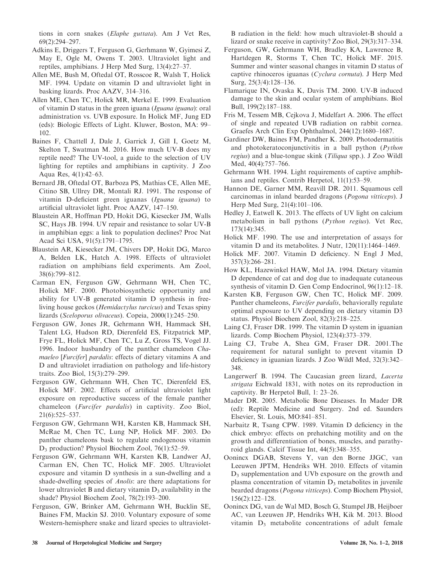tions in corn snakes (Elaphe guttata). Am J Vet Res, 69(2):294–297.

- Adkins E, Driggers T, Ferguson G, Gerhmann W, Gyimesi Z, May E, Ogle M, Owens T. 2003. Ultraviolet light and reptiles, amphibians. J Herp Med Surg, 13(4):27–37.
- Allen ME, Bush M, Oftedal OT, Rosscoe R, Walsh T, Holick MF. 1994. Update on vitamin D and ultraviolet light in basking lizards. Proc AAZV, 314–316.
- Allen ME, Chen TC, Holick MR, Merkel E. 1999. Evaluation of vitamin D status in the green iguana (Iguana iguana): oral administration vs. UVB exposure. In Holick MF, Jung ED (eds): Biologic Effects of Light. Kluwer, Boston, MA: 99– 102.
- Baines F, Chattell J, Dale J, Garrick J, Gill I, Goetz M, Skelton T, Swatman M. 2016. How much UV-B does my reptile need? The UV-tool, a guide to the selection of UV lighting for reptiles and amphibians in captivity. J Zoo Aqua Res, 4(1):42–63.
- Bernard JB, Oftedal OT, Barboza PS, Mathias CE, Allen ME, Citino SB, Ullrey DR, Montali RJ. 1991. The response of vitamin D-deficient green iguanas (Iguana iguana) to artificial ultraviolet light. Proc AAZV, 147–150.
- Blaustein AR, Hoffman PD, Hokit DG, Kiesecker JM, Walls SC, Hays JB. 1994. UV repair and resistance to solar UV-B in amphibian eggs: a link to population declines? Proc Nat Acad Sci USA, 91(5):1791–1795.
- Blaustein AR, Kiesecker JM, Chivers DP, Hokit DG, Marco A, Belden LK, Hatch A. 1998. Effects of ultraviolet radiation on amphibians field experiments. Am Zool, 38(6):799–812.
- Carman EN, Ferguson GW, Gehrmann WH, Chen TC, Holick MF. 2000. Photobiosynthetic opportunity and ability for UV-B generated vitamin D synthesis in freeliving house geckos (Hemidactylus turcicus) and Texas spiny lizards (Sceloporus olivaceus). Copeia, 2000(1):245–250.
- Ferguson GW, Jones JR, Gehrmann WH, Hammack SH, Talent LG, Hudson RD, Dierenfeld ES, Fitzpatrick MP, Frye FL, Holick MF, Chen TC, Lu Z, Gross TS, Vogel JJ. 1996. Indoor husbandry of the panther chameleon Chamaeleo [Furcifer] pardalis: effects of dietary vitamins A and D and ultraviolet irradiation on pathology and life-history traits. Zoo Biol, 15(3):279–299.
- Ferguson GW, Gehrmann WH, Chen TC, Dierenfeld ES, Holick MF. 2002. Effects of artificial ultraviolet light exposure on reproductive success of the female panther chameleon (Furcifer pardalis) in captivity. Zoo Biol, 21(6):525–537.
- Ferguson GW, Gehrmann WH, Karsten KB, Hammack SH, McRae M, Chen TC, Lung NP, Holick MF. 2003. Do panther chameleons bask to regulate endogenous vitamin D<sup>3</sup> production? Physiol Biochem Zool, 76(1):52–59.
- Ferguson GW, Gehrmann WH, Karsten KB, Landwer AJ, Carman EN, Chen TC, Holick MF. 2005. Ultraviolet exposure and vitamin D synthesis in a sun-dwelling and a shade-dwelling species of Anolis: are there adaptations for lower ultraviolet B and dietary vitamin  $D_3$  availability in the shade? Physiol Biochem Zool, 78(2):193–200.
- Ferguson, GW, Brinker AM, Gehrmann WH, Bucklin SE, Baines FM, Mackin SJ. 2010. Voluntary exposure of some Western-hemisphere snake and lizard species to ultraviolet-

B radiation in the field: how much ultraviolet-B should a lizard or snake receive in captivity? Zoo Biol, 29(3):317–334.

- Ferguson, GW, Gehrmann WH, Bradley KA, Lawrence B, Hartdegen R, Storms T, Chen TC, Holick MF. 2015. Summer and winter seasonal changes in vitamin D status of captive rhinoceros iguanas (Cyclura cornuta). J Herp Med Surg, 25(3/4):128–136.
- Flamarique IN, Ovaska K, Davis TM. 2000. UV-B induced damage to the skin and ocular system of amphibians. Biol Bull, 199(2):187–188.
- Fris M, Tessem MB, Cejkova J, Midelfart A. 2006. The effect of single and repeated UVB radiation on rabbit cornea. Graefes Arch Clin Exp Ophthalmol, 244(12):1680–1687.
- Gardiner DW, Baines FM, Pandher K. 2009. Photodermatitis and photokeratoconjunctivitis in a ball python (Python regius) and a blue-tongue skink (Tiliqua spp.). J Zoo Wildl Med, 40(4):757–766.
- Gehrmann WH. 1994. Light requirements of captive amphibians and reptiles. Contrib Herpetol, 11(1):53–59.
- Hannon DE, Garner MM, Reavill DR. 2011. Squamous cell carcinomas in inland bearded dragons (Pogona vitticeps). J Herp Med Surg, 21(4):101–106.
- Hedley J, Eatwell K. 2013. The effects of UV light on calcium metabolism in ball pythons (Python regius). Vet Rec, 173(14):345.
- Holick MF. 1990. The use and interpretation of assays for vitamin D and its metabolites. J Nutr, 120(11):1464–1469.
- Holick MF. 2007. Vitamin D deficiency. N Engl J Med, 357(3):266–281.
- How KL, Hazewinkel HAW, Mol JA. 1994. Dietary vitamin D dependence of cat and dog due to inadequate cutaneous synthesis of vitamin D. Gen Comp Endocrinol, 96(1):12–18.
- Karsten KB, Ferguson GW, Chen TC, Holick MF. 2009. Panther chameleons, *Furcifer pardalis*, behaviorally regulate optimal exposure to UV depending on dietary vitamin D3 status. Physiol Biochem Zool, 82(3):218–225.
- Laing CJ, Fraser DR. 1999. The vitamin D system in iguanian lizards. Comp Biochem Physiol, 123(4):373–379.
- Laing CJ, Trube A, Shea GM, Fraser DR. 2001.The requirement for natural sunlight to prevent vitamin D deficiency in iguanian lizards. J Zoo Wildl Med, 32(3):342– 348.
- Langerwerf B. 1994. The Caucasian green lizard, *Lacerta* strigata Eichwald 1831, with notes on its reproduction in captivity. Br Herpetol Bull, 1: 23–26.
- Mader DR. 2005. Metabolic Bone Diseases. In Mader DR (ed): Reptile Medicine and Surgery. 2nd ed. Saunders Elsevier, St. Louis, MO:841–851.
- Narbaitz R, Tsang CPW. 1989. Vitamin D deficiency in the chick embryo: effects on prehatching motility and on the growth and differentiation of bones, muscles, and parathyroid glands. Calcif Tissue Int, 44(5):348–355.
- Oonincx DGAB, Stevens Y, van den Borne JJGC, van Leeuwen JPTM, Hendriks WH. 2010. Effects of vitamin  $D_3$  supplementation and UVb exposure on the growth and plasma concentration of vitamin  $D_3$  metabolites in juvenile bearded dragons (Pogona vitticeps). Comp Biochem Physiol, 156(2):122–128.
- Oonincx DG, van de Wal MD, Bosch G, Stumpel JB, Heijboer AC, van Leeuwen JP, Hendriks WH, Kik M. 2013. Blood vitamin  $D_3$  metabolite concentrations of adult female